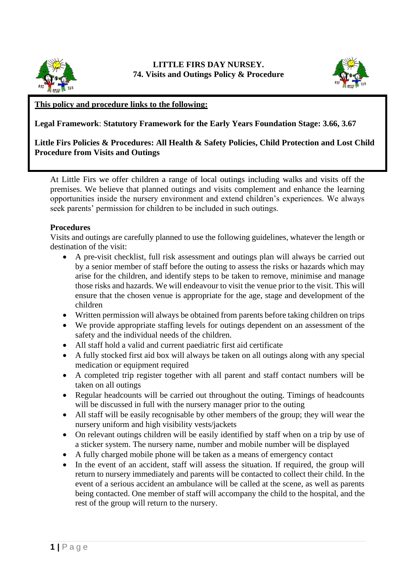



## **This policy and procedure links to the following:**

**Legal Framework**: **Statutory Framework for the Early Years Foundation Stage: 3.66, 3.67**

## **Little Firs Policies & Procedures: All Health & Safety Policies, Child Protection and Lost Child Procedure from Visits and Outings**

At Little Firs we offer children a range of local outings including walks and visits off the premises. We believe that planned outings and visits complement and enhance the learning opportunities inside the nursery environment and extend children's experiences. We always seek parents' permission for children to be included in such outings.

## **Procedures**

Visits and outings are carefully planned to use the following guidelines, whatever the length or destination of the visit:

- A pre-visit checklist, full risk assessment and outings plan will always be carried out by a senior member of staff before the outing to assess the risks or hazards which may arise for the children, and identify steps to be taken to remove, minimise and manage those risks and hazards. We will endeavour to visit the venue prior to the visit. This will ensure that the chosen venue is appropriate for the age, stage and development of the children
- Written permission will always be obtained from parents before taking children on trips
- We provide appropriate staffing levels for outings dependent on an assessment of the safety and the individual needs of the children.
- All staff hold a valid and current paediatric first aid certificate
- A fully stocked first aid box will always be taken on all outings along with any special medication or equipment required
- A completed trip register together with all parent and staff contact numbers will be taken on all outings
- Regular headcounts will be carried out throughout the outing. Timings of headcounts will be discussed in full with the nursery manager prior to the outing
- All staff will be easily recognisable by other members of the group; they will wear the nursery uniform and high visibility vests/jackets
- On relevant outings children will be easily identified by staff when on a trip by use of a sticker system. The nursery name, number and mobile number will be displayed
- A fully charged mobile phone will be taken as a means of emergency contact
- In the event of an accident, staff will assess the situation. If required, the group will return to nursery immediately and parents will be contacted to collect their child. In the event of a serious accident an ambulance will be called at the scene, as well as parents being contacted. One member of staff will accompany the child to the hospital, and the rest of the group will return to the nursery.